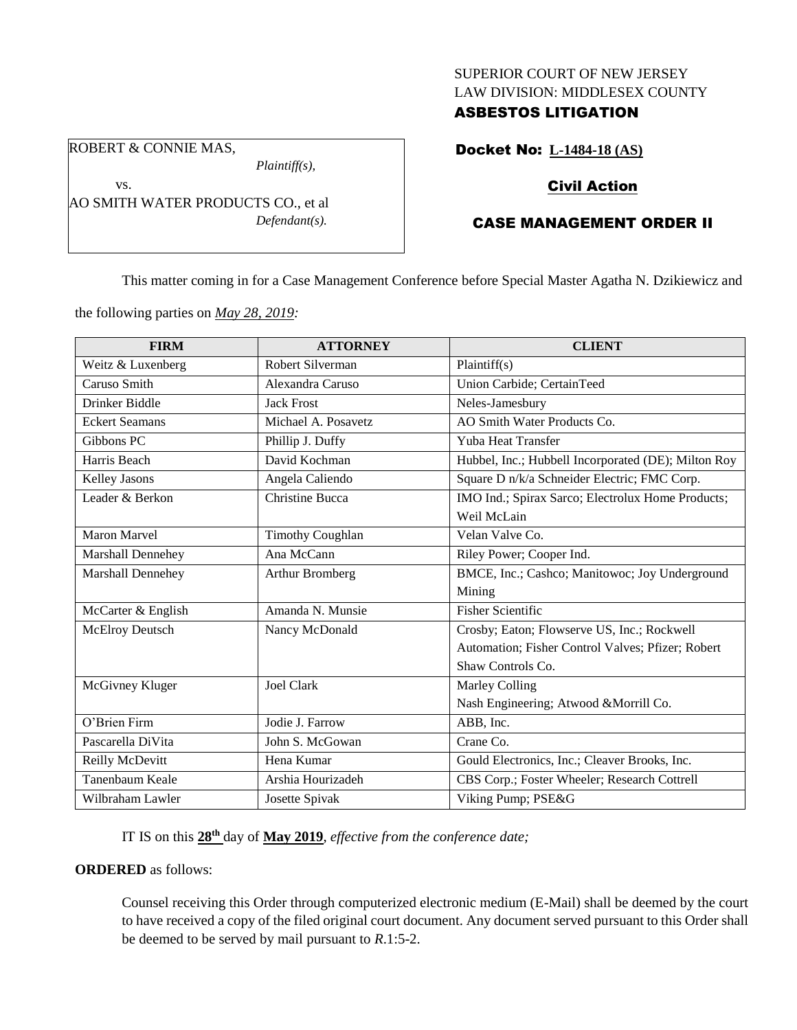#### SUPERIOR COURT OF NEW JERSEY LAW DIVISION: MIDDLESEX COUNTY

## ASBESTOS LITIGATION

ROBERT & CONNIE MAS,

vs.

*Plaintiff(s),*

AO SMITH WATER PRODUCTS CO., et al *Defendant(s).*

# Docket No: **L-1484-18 (AS)**

## Civil Action

# CASE MANAGEMENT ORDER II

This matter coming in for a Case Management Conference before Special Master Agatha N. Dzikiewicz and

the following parties on *May 28, 2019:*

| <b>FIRM</b>           | <b>ATTORNEY</b>         | <b>CLIENT</b>                                       |
|-----------------------|-------------------------|-----------------------------------------------------|
| Weitz & Luxenberg     | <b>Robert Silverman</b> | Plaintiff(s)                                        |
| Caruso Smith          | Alexandra Caruso        | Union Carbide; CertainTeed                          |
| Drinker Biddle        | <b>Jack Frost</b>       | Neles-Jamesbury                                     |
| <b>Eckert Seamans</b> | Michael A. Posavetz     | AO Smith Water Products Co.                         |
| Gibbons PC            | Phillip J. Duffy        | Yuba Heat Transfer                                  |
| Harris Beach          | David Kochman           | Hubbel, Inc.; Hubbell Incorporated (DE); Milton Roy |
| Kelley Jasons         | Angela Caliendo         | Square D n/k/a Schneider Electric; FMC Corp.        |
| Leader & Berkon       | <b>Christine Bucca</b>  | IMO Ind.; Spirax Sarco; Electrolux Home Products;   |
|                       |                         | Weil McLain                                         |
| <b>Maron Marvel</b>   | <b>Timothy Coughlan</b> | Velan Valve Co.                                     |
| Marshall Dennehey     | Ana McCann              | Riley Power; Cooper Ind.                            |
| Marshall Dennehey     | <b>Arthur Bromberg</b>  | BMCE, Inc.; Cashco; Manitowoc; Joy Underground      |
|                       |                         | Mining                                              |
| McCarter & English    | Amanda N. Munsie        | <b>Fisher Scientific</b>                            |
| McElroy Deutsch       | Nancy McDonald          | Crosby; Eaton; Flowserve US, Inc.; Rockwell         |
|                       |                         | Automation; Fisher Control Valves; Pfizer; Robert   |
|                       |                         | Shaw Controls Co.                                   |
| McGivney Kluger       | <b>Joel Clark</b>       | Marley Colling                                      |
|                       |                         | Nash Engineering; Atwood & Morrill Co.              |
| O'Brien Firm          | Jodie J. Farrow         | ABB, Inc.                                           |
| Pascarella DiVita     | John S. McGowan         | Crane Co.                                           |
| Reilly McDevitt       | Hena Kumar              | Gould Electronics, Inc.; Cleaver Brooks, Inc.       |
| Tanenbaum Keale       | Arshia Hourizadeh       | CBS Corp.; Foster Wheeler; Research Cottrell        |
| Wilbraham Lawler      | Josette Spivak          | Viking Pump; PSE&G                                  |

IT IS on this **28th** day of **May 2019**, *effective from the conference date;*

**ORDERED** as follows:

Counsel receiving this Order through computerized electronic medium (E-Mail) shall be deemed by the court to have received a copy of the filed original court document. Any document served pursuant to this Order shall be deemed to be served by mail pursuant to *R*.1:5-2.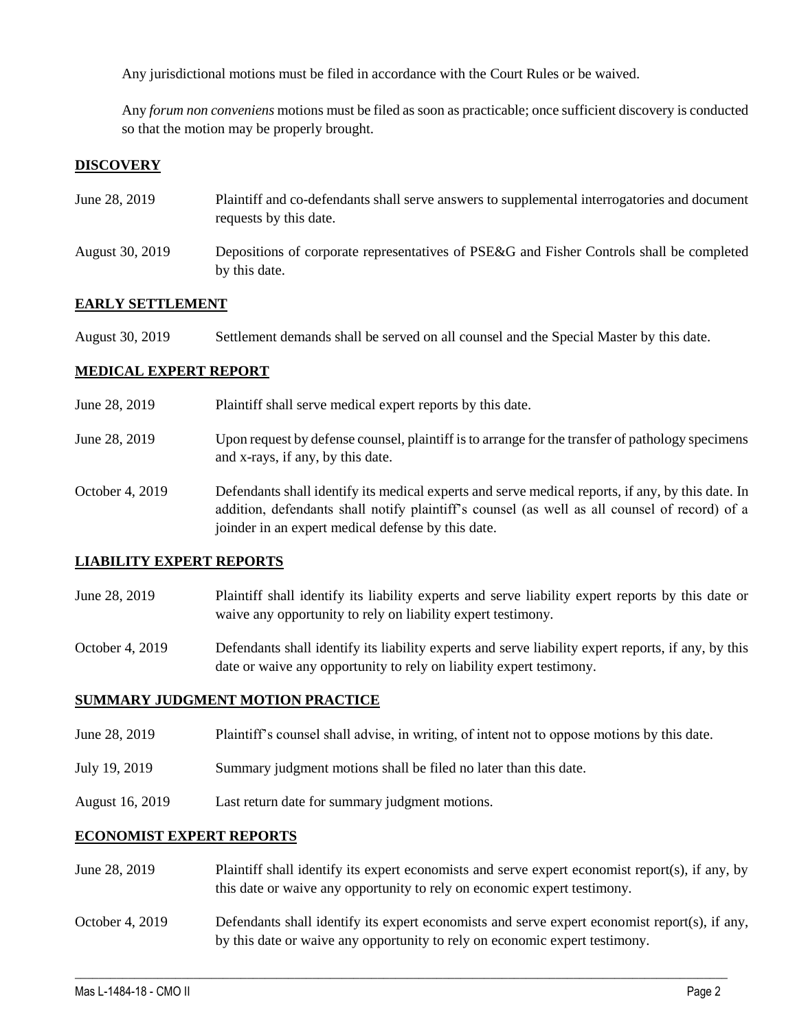Any jurisdictional motions must be filed in accordance with the Court Rules or be waived.

Any *forum non conveniens* motions must be filed as soon as practicable; once sufficient discovery is conducted so that the motion may be properly brought.

### **DISCOVERY**

| June 28, 2019   | Plaintiff and co-defendants shall serve answers to supplemental interrogatories and document<br>requests by this date. |
|-----------------|------------------------------------------------------------------------------------------------------------------------|
| August 30, 2019 | Depositions of corporate representatives of PSE&G and Fisher Controls shall be completed<br>by this date.              |

#### **EARLY SETTLEMENT**

| August 30, 2019 | Settlement demands shall be served on all counsel and the Special Master by this date. |  |
|-----------------|----------------------------------------------------------------------------------------|--|
|-----------------|----------------------------------------------------------------------------------------|--|

#### **MEDICAL EXPERT REPORT**

| June 28, 2019   | Plaintiff shall serve medical expert reports by this date.                                                                                                                                                                                               |
|-----------------|----------------------------------------------------------------------------------------------------------------------------------------------------------------------------------------------------------------------------------------------------------|
| June 28, 2019   | Upon request by defense counsel, plaintiff is to arrange for the transfer of pathology specimens<br>and x-rays, if any, by this date.                                                                                                                    |
| October 4, 2019 | Defendants shall identify its medical experts and serve medical reports, if any, by this date. In<br>addition, defendants shall notify plaintiff's counsel (as well as all counsel of record) of a<br>joinder in an expert medical defense by this date. |

### **LIABILITY EXPERT REPORTS**

June 28, 2019 Plaintiff shall identify its liability experts and serve liability expert reports by this date or waive any opportunity to rely on liability expert testimony.

October 4, 2019 Defendants shall identify its liability experts and serve liability expert reports, if any, by this date or waive any opportunity to rely on liability expert testimony.

#### **SUMMARY JUDGMENT MOTION PRACTICE**

- June 28, 2019 Plaintiff's counsel shall advise, in writing, of intent not to oppose motions by this date.
- July 19, 2019 Summary judgment motions shall be filed no later than this date.
- August 16, 2019 Last return date for summary judgment motions.

### **ECONOMIST EXPERT REPORTS**

- June 28, 2019 Plaintiff shall identify its expert economists and serve expert economist report(s), if any, by this date or waive any opportunity to rely on economic expert testimony.
- October 4, 2019 Defendants shall identify its expert economists and serve expert economist report(s), if any, by this date or waive any opportunity to rely on economic expert testimony.

 $\_$  , and the set of the set of the set of the set of the set of the set of the set of the set of the set of the set of the set of the set of the set of the set of the set of the set of the set of the set of the set of th